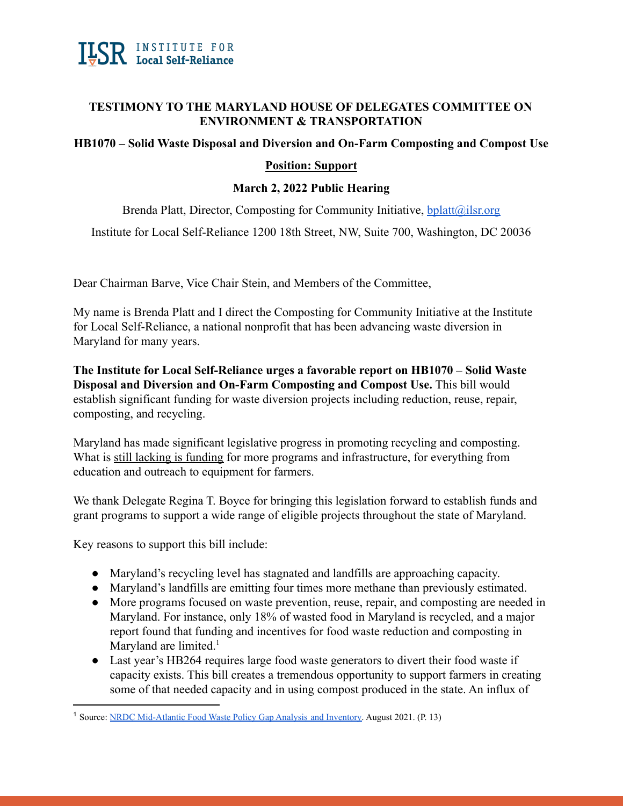

## **TESTIMONY TO THE MARYLAND HOUSE OF DELEGATES COMMITTEE ON ENVIRONMENT & TRANSPORTATION**

## **HB1070 – Solid Waste Disposal and Diversion and On-Farm Composting and Compost Use**

## **Position: Support**

## **March 2, 2022 Public Hearing**

Brenda Platt, Director, Composting for Community Initiative,  $b$ platt $(a)$ ilsr.org

Institute for Local Self-Reliance 1200 18th Street, NW, Suite 700, Washington, DC 20036

Dear Chairman Barve, Vice Chair Stein, and Members of the Committee,

My name is Brenda Platt and I direct the Composting for Community Initiative at the Institute for Local Self-Reliance, a national nonprofit that has been advancing waste diversion in Maryland for many years.

**The Institute for Local Self-Reliance urges a favorable report on HB1070 – Solid Waste Disposal and Diversion and On-Farm Composting and Compost Use.** This bill would establish significant funding for waste diversion projects including reduction, reuse, repair, composting, and recycling.

Maryland has made significant legislative progress in promoting recycling and composting. What is still lacking is funding for more programs and infrastructure, for everything from education and outreach to equipment for farmers.

We thank Delegate Regina T. Boyce for bringing this legislation forward to establish funds and grant programs to support a wide range of eligible projects throughout the state of Maryland.

Key reasons to support this bill include:

- Maryland's recycling level has stagnated and landfills are approaching capacity.
- Maryland's landfills are emitting four times more methane than previously estimated.
- More programs focused on waste prevention, reuse, repair, and composting are needed in Maryland. For instance, only 18% of wasted food in Maryland is recycled, and a major report found that funding and incentives for food waste reduction and composting in Maryland are limited. $<sup>1</sup>$ </sup>
- Last year's HB264 requires large food waste generators to divert their food waste if capacity exists. This bill creates a tremendous opportunity to support farmers in creating some of that needed capacity and in using compost produced in the state. An influx of

<sup>&</sup>lt;sup>1</sup> Source: [NRDC Mid-Atlantic Food Waste Policy Gap Analysis](https://mde.maryland.gov/programs/LAND/RecyclingandOperationsprogram/Documents/mid-atlantic-food-waste-policy-gap-report.pdf) and Inventory. August 2021. (P. 13)